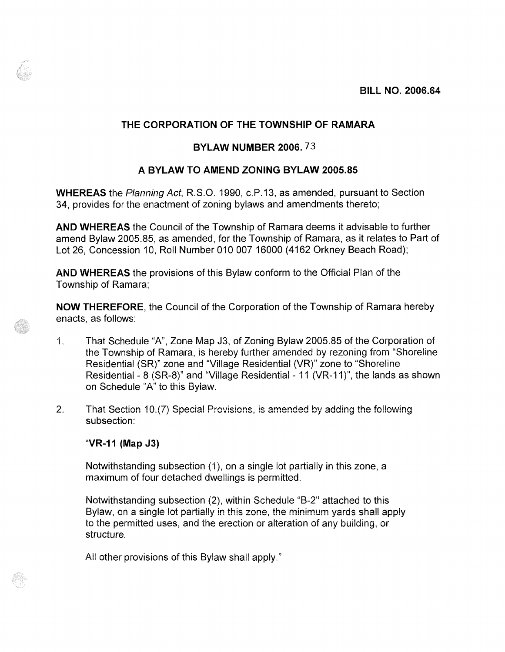## THE CORPORATION OF THE TOWNSHIP OF RAMARA

## BYLAW NUMBER 2006.73

## A BYLAW TO AMEND ZONING BYLAW 2005.85

**WHEREAS** the Planning Act, R.S.O. 1990, c.P.13, as amended, pursuant to Section 34, provides for the enactment of zoning bylaws and amendments thereto;

AND WHEREAS the Council of the Township of Ramara deems it advisable to further amend Bylaw 2005.85, as amended, for the Township of Ramara, as it relates to Part of Lot 26, Concession 10, Roll Number 010 007 16000 (4162 Orkney Beach Road);

AND WHEREAS the provisions of this Bylaw conform to the Official Plan of the Township of Ramara:

**NOW THEREFORE**, the Council of the Corporation of the Township of Ramara hereby enacts, as follows:

- That Schedule "A", Zone Map J3, of Zoning Bylaw 2005.85 of the Corporation of  $\mathbf{1}$ . the Township of Ramara, is hereby further amended by rezoning from "Shoreline" Residential (SR)" zone and "Village Residential (VR)" zone to "Shoreline Residential - 8 (SR-8)" and "Village Residential - 11 (VR-11)", the lands as shown on Schedule "A" to this Bylaw.
- $2<sub>1</sub>$ That Section 10.(7) Special Provisions, is amended by adding the following subsection:

"VR-11 (Map J3)

Notwithstanding subsection (1), on a single lot partially in this zone, a maximum of four detached dwellings is permitted.

Notwithstanding subsection (2), within Schedule "B-2" attached to this Bylaw, on a single lot partially in this zone, the minimum yards shall apply to the permitted uses, and the erection or alteration of any building, or structure.

All other provisions of this Bylaw shall apply."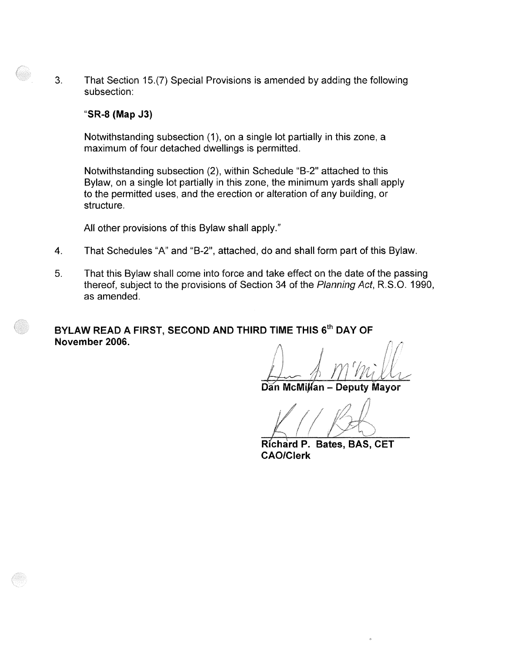$3<sub>1</sub>$ That Section 15.(7) Special Provisions is amended by adding the following subsection:

## "SR-8 (Map J3)

Notwithstanding subsection (1), on a single lot partially in this zone, a maximum of four detached dwellings is permitted.

Notwithstanding subsection (2), within Schedule "B-2" attached to this Bylaw, on a single lot partially in this zone, the minimum yards shall apply to the permitted uses, and the erection or alteration of any building, or structure.

All other provisions of this Bylaw shall apply."

- 4. That Schedules "A" and "B-2", attached, do and shall form part of this Bylaw.
- 5. That this Bylaw shall come into force and take effect on the date of the passing thereof, subject to the provisions of Section 34 of the Planning Act, R.S.O. 1990, as amended.

BYLAW READ A FIRST, SECOND AND THIRD TIME THIS 6<sup>th</sup> DAY OF November 2006.

Dan McMillan - Deputy Mayor

Richard P. Bates, BAS, CET **CAO/Clerk**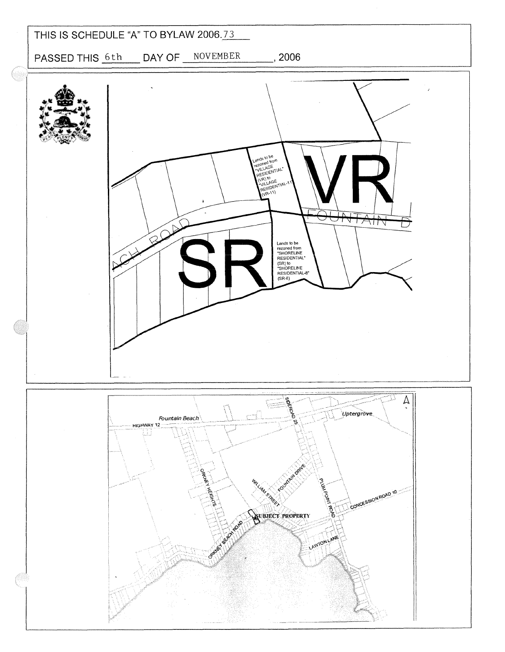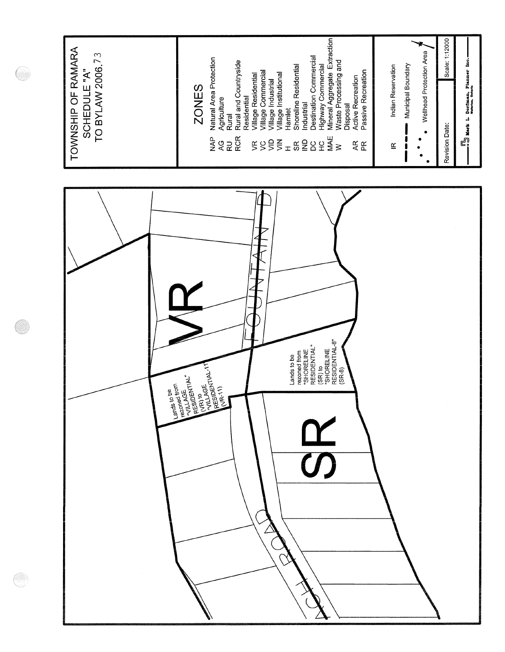

O)